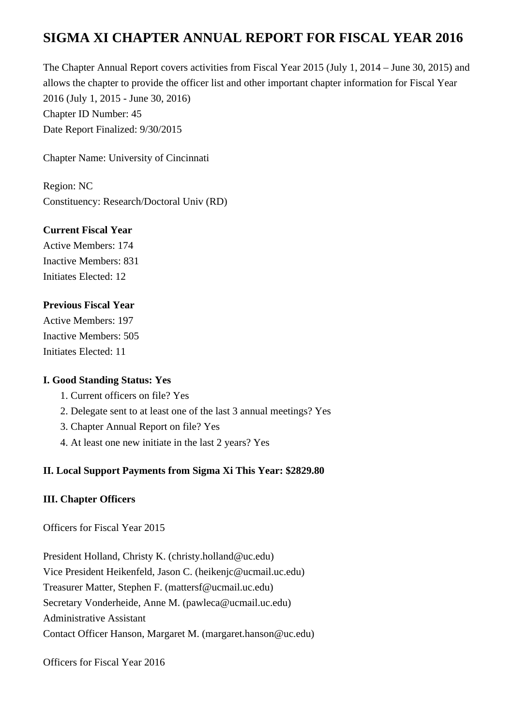# **SIGMA XI CHAPTER ANNUAL REPORT FOR FISCAL YEAR 2016**

The Chapter Annual Report covers activities from Fiscal Year 2015 (July 1, 2014 – June 30, 2015) and allows the chapter to provide the officer list and other important chapter information for Fiscal Year 2016 (July 1, 2015 - June 30, 2016) Chapter ID Number: 45 Date Report Finalized: 9/30/2015

Chapter Name: University of Cincinnati

Region: NC Constituency: Research/Doctoral Univ (RD)

## **Current Fiscal Year**

Active Members: 174 Inactive Members: 831 Initiates Elected: 12

#### **Previous Fiscal Year**

Active Members: 197 Inactive Members: 505 Initiates Elected: 11

#### **I. Good Standing Status: Yes**

- 1. Current officers on file? Yes
- 2. Delegate sent to at least one of the last 3 annual meetings? Yes
- 3. Chapter Annual Report on file? Yes
- 4. At least one new initiate in the last 2 years? Yes

## **II. Local Support Payments from Sigma Xi This Year: \$2829.80**

## **III. Chapter Officers**

Officers for Fiscal Year 2015

President Holland, Christy K. (christy.holland@uc.edu) Vice President Heikenfeld, Jason C. (heikenjc@ucmail.uc.edu) Treasurer Matter, Stephen F. (mattersf@ucmail.uc.edu) Secretary Vonderheide, Anne M. (pawleca@ucmail.uc.edu) Administrative Assistant Contact Officer Hanson, Margaret M. (margaret.hanson@uc.edu)

Officers for Fiscal Year 2016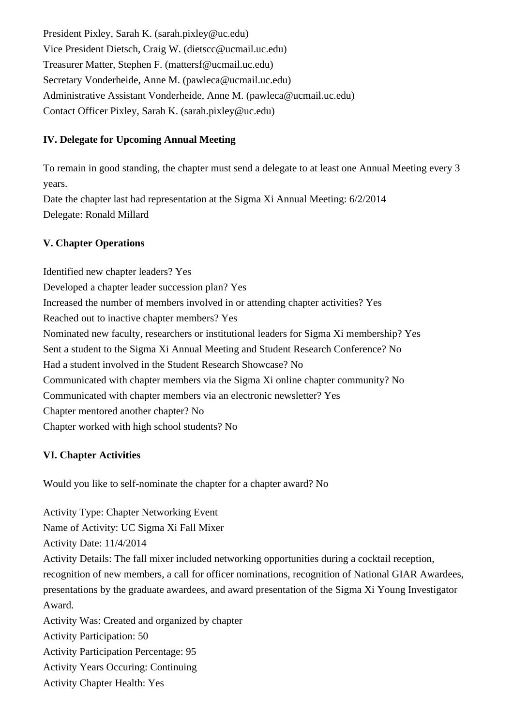President Pixley, Sarah K. (sarah.pixley@uc.edu) Vice President Dietsch, Craig W. (dietscc@ucmail.uc.edu) Treasurer Matter, Stephen F. (mattersf@ucmail.uc.edu) Secretary Vonderheide, Anne M. (pawleca@ucmail.uc.edu) Administrative Assistant Vonderheide, Anne M. (pawleca@ucmail.uc.edu) Contact Officer Pixley, Sarah K. (sarah.pixley@uc.edu)

## **IV. Delegate for Upcoming Annual Meeting**

To remain in good standing, the chapter must send a delegate to at least one Annual Meeting every 3 years.

Date the chapter last had representation at the Sigma Xi Annual Meeting: 6/2/2014 Delegate: Ronald Millard

## **V. Chapter Operations**

Identified new chapter leaders? Yes Developed a chapter leader succession plan? Yes Increased the number of members involved in or attending chapter activities? Yes Reached out to inactive chapter members? Yes Nominated new faculty, researchers or institutional leaders for Sigma Xi membership? Yes Sent a student to the Sigma Xi Annual Meeting and Student Research Conference? No Had a student involved in the Student Research Showcase? No Communicated with chapter members via the Sigma Xi online chapter community? No Communicated with chapter members via an electronic newsletter? Yes Chapter mentored another chapter? No Chapter worked with high school students? No

# **VI. Chapter Activities**

Would you like to self-nominate the chapter for a chapter award? No

Activity Type: Chapter Networking Event Name of Activity: UC Sigma Xi Fall Mixer Activity Date: 11/4/2014 Activity Details: The fall mixer included networking opportunities during a cocktail reception, recognition of new members, a call for officer nominations, recognition of National GIAR Awardees, presentations by the graduate awardees, and award presentation of the Sigma Xi Young Investigator Award. Activity Was: Created and organized by chapter Activity Participation: 50 Activity Participation Percentage: 95 Activity Years Occuring: Continuing

Activity Chapter Health: Yes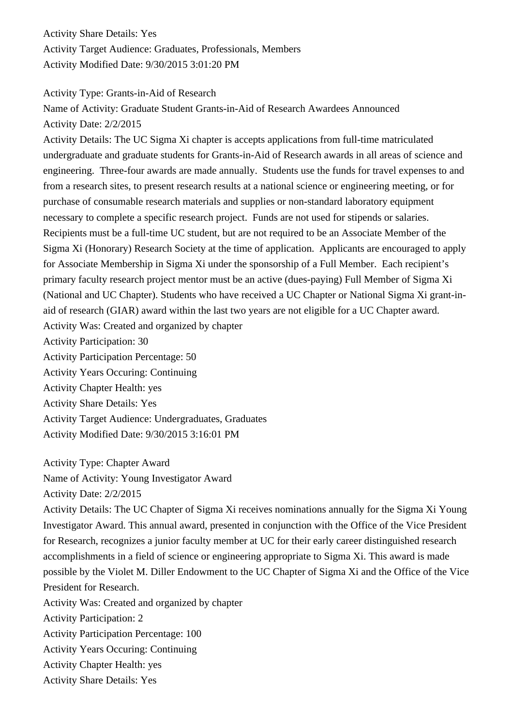Activity Share Details: Yes Activity Target Audience: Graduates, Professionals, Members Activity Modified Date: 9/30/2015 3:01:20 PM

Activity Type: Grants-in-Aid of Research

Name of Activity: Graduate Student Grants-in-Aid of Research Awardees Announced Activity Date: 2/2/2015

Activity Details: The UC Sigma Xi chapter is accepts applications from full-time matriculated undergraduate and graduate students for Grants-in-Aid of Research awards in all areas of science and engineering. Three-four awards are made annually. Students use the funds for travel expenses to and from a research sites, to present research results at a national science or engineering meeting, or for purchase of consumable research materials and supplies or non-standard laboratory equipment necessary to complete a specific research project. Funds are not used for stipends or salaries. Recipients must be a full-time UC student, but are not required to be an Associate Member of the Sigma Xi (Honorary) Research Society at the time of application. Applicants are encouraged to apply for Associate Membership in Sigma Xi under the sponsorship of a Full Member. Each recipient's primary faculty research project mentor must be an active (dues-paying) Full Member of Sigma Xi (National and UC Chapter). Students who have received a UC Chapter or National Sigma Xi grant-inaid of research (GIAR) award within the last two years are not eligible for a UC Chapter award. Activity Was: Created and organized by chapter Activity Participation: 30 Activity Participation Percentage: 50 Activity Years Occuring: Continuing Activity Chapter Health: yes Activity Share Details: Yes

Activity Target Audience: Undergraduates, Graduates Activity Modified Date: 9/30/2015 3:16:01 PM

Activity Type: Chapter Award

Name of Activity: Young Investigator Award

Activity Date: 2/2/2015

Activity Details: The UC Chapter of Sigma Xi receives nominations annually for the Sigma Xi Young Investigator Award. This annual award, presented in conjunction with the Office of the Vice President for Research, recognizes a junior faculty member at UC for their early career distinguished research accomplishments in a field of science or engineering appropriate to Sigma Xi. This award is made possible by the Violet M. Diller Endowment to the UC Chapter of Sigma Xi and the Office of the Vice President for Research.

Activity Was: Created and organized by chapter

Activity Participation: 2

Activity Participation Percentage: 100

Activity Years Occuring: Continuing

Activity Chapter Health: yes

Activity Share Details: Yes